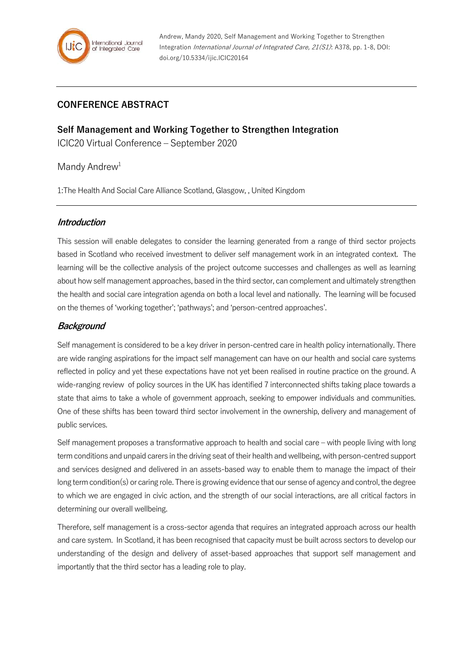

## **CONFERENCE ABSTRACT**

**Self Management and Working Together to Strengthen Integration** ICIC20 Virtual Conference – September 2020

Mandy Andrew<sup>1</sup>

1:The Health And Social Care Alliance Scotland, Glasgow, , United Kingdom

#### **Introduction**

This session will enable delegates to consider the learning generated from a range of third sector projects based in Scotland who received investment to deliver self management work in an integrated context. The learning will be the collective analysis of the project outcome successes and challenges as well as learning about how self management approaches, based in the third sector, can complement and ultimately strengthen the health and social care integration agenda on both a local level and nationally. The learning will be focused on the themes of 'working together'; 'pathways'; and 'person-centred approaches'.

### **Background**

Self management is considered to be a key driver in person-centred care in health policy internationally. There are wide ranging aspirations for the impact self management can have on our health and social care systems reflected in policy and yet these expectations have not yet been realised in routine practice on the ground. A wide-ranging review of policy sources in the UK has identified 7 interconnected shifts taking place towards a state that aims to take a whole of government approach, seeking to empower individuals and communities. One of these shifts has been toward third sector involvement in the ownership, delivery and management of public services.

Self management proposes a transformative approach to health and social care – with people living with long term conditions and unpaid carers in the driving seat of their health and wellbeing, with person-centred support and services designed and delivered in an assets-based way to enable them to manage the impact of their long term condition(s) or caring role. There is growing evidence that our sense of agency and control, the degree to which we are engaged in civic action, and the strength of our social interactions, are all critical factors in determining our overall wellbeing.

Therefore, self management is a cross-sector agenda that requires an integrated approach across our health and care system. In Scotland, it has been recognised that capacity must be built across sectors to develop our understanding of the design and delivery of asset-based approaches that support self management and importantly that the third sector has a leading role to play.